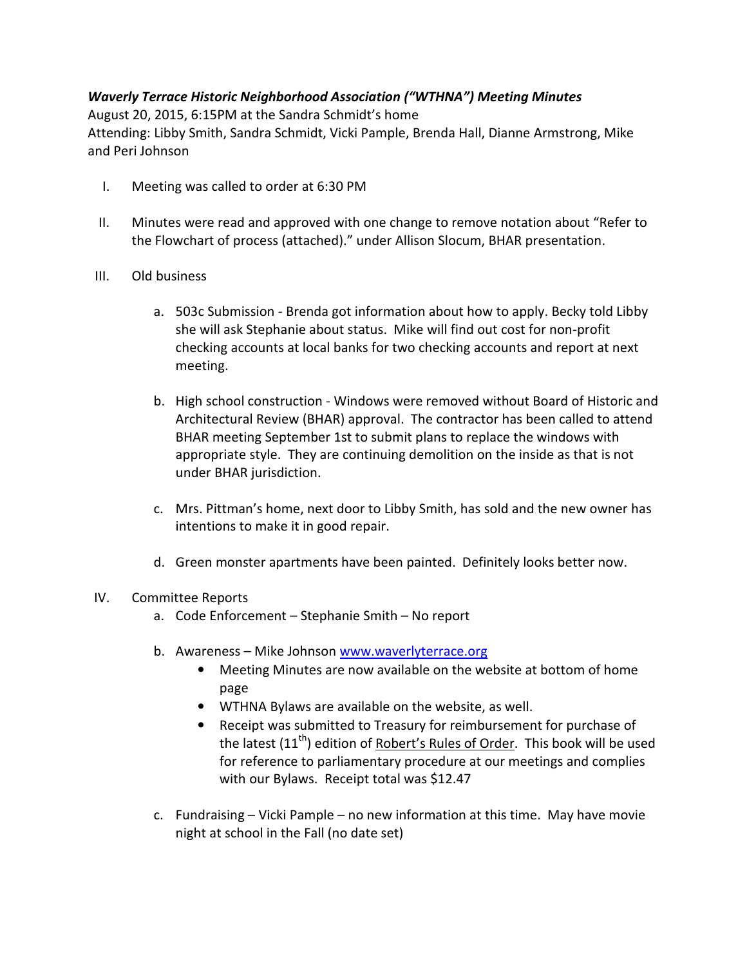# Waverly Terrace Historic Neighborhood Association ("WTHNA") Meeting Minutes

August 20, 2015, 6:15PM at the Sandra Schmidt's home Attending: Libby Smith, Sandra Schmidt, Vicki Pample, Brenda Hall, Dianne Armstrong, Mike and Peri Johnson

- I. Meeting was called to order at 6:30 PM
- II. Minutes were read and approved with one change to remove notation about "Refer to the Flowchart of process (attached)." under Allison Slocum, BHAR presentation.
- III. Old business
	- a. 503c Submission Brenda got information about how to apply. Becky told Libby she will ask Stephanie about status. Mike will find out cost for non-profit checking accounts at local banks for two checking accounts and report at next meeting.
	- b. High school construction Windows were removed without Board of Historic and Architectural Review (BHAR) approval. The contractor has been called to attend BHAR meeting September 1st to submit plans to replace the windows with appropriate style. They are continuing demolition on the inside as that is not under BHAR jurisdiction.
	- c. Mrs. Pittman's home, next door to Libby Smith, has sold and the new owner has intentions to make it in good repair.
	- d. Green monster apartments have been painted. Definitely looks better now.

## IV. Committee Reports

- a. Code Enforcement Stephanie Smith No report
- b. Awareness Mike Johnson www.waverlyterrace.org
	- Meeting Minutes are now available on the website at bottom of home page
	- WTHNA Bylaws are available on the website, as well.
	- Receipt was submitted to Treasury for reimbursement for purchase of the latest  $(11<sup>th</sup>)$  edition of Robert's Rules of Order. This book will be used for reference to parliamentary procedure at our meetings and complies with our Bylaws. Receipt total was \$12.47
- c. Fundraising Vicki Pample no new information at this time. May have movie night at school in the Fall (no date set)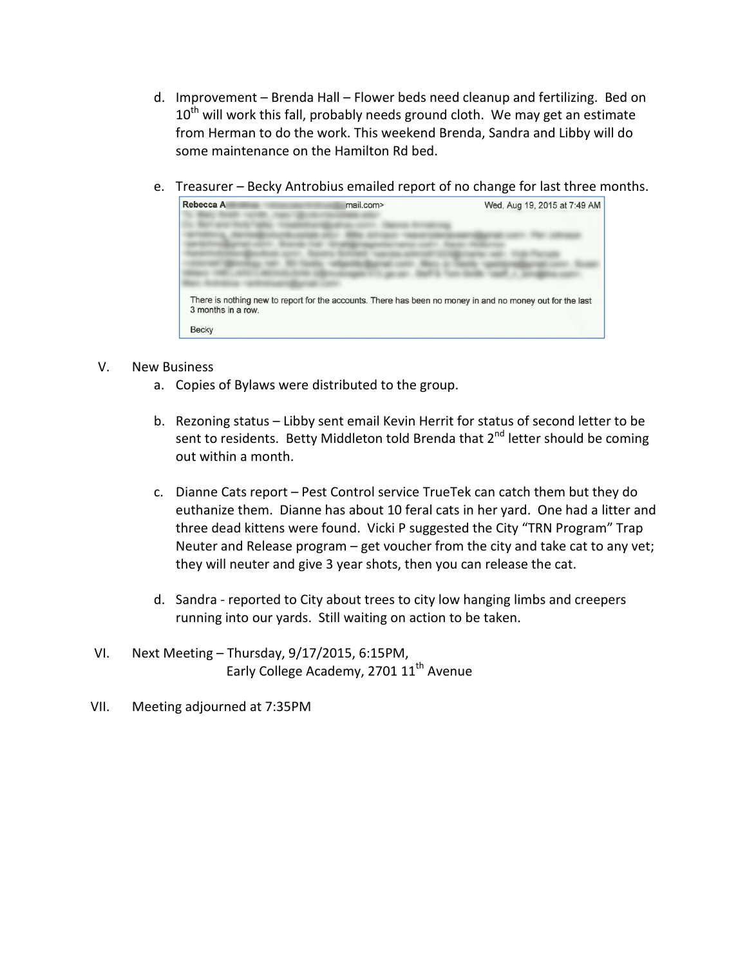- d. Improvement Brenda Hall Flower beds need cleanup and fertilizing. Bed on  $10^{th}$  will work this fall, probably needs ground cloth. We may get an estimate from Herman to do the work. This weekend Brenda, Sandra and Libby will do some maintenance on the Hamilton Rd bed.
- e. Treasurer Becky Antrobius emailed report of no change for last three months.



#### V. New Business

- a. Copies of Bylaws were distributed to the group.
- b. Rezoning status Libby sent email Kevin Herrit for status of second letter to be sent to residents. Betty Middleton told Brenda that  $2^{nd}$  letter should be coming out within a month.
- c. Dianne Cats report Pest Control service TrueTek can catch them but they do euthanize them. Dianne has about 10 feral cats in her yard. One had a litter and three dead kittens were found. Vicki P suggested the City "TRN Program" Trap Neuter and Release program – get voucher from the city and take cat to any vet; they will neuter and give 3 year shots, then you can release the cat.
- d. Sandra reported to City about trees to city low hanging limbs and creepers running into our yards. Still waiting on action to be taken.
- VI. Next Meeting Thursday, 9/17/2015, 6:15PM, Early College Academy, 2701 11<sup>th</sup> Avenue
- VII. Meeting adjourned at 7:35PM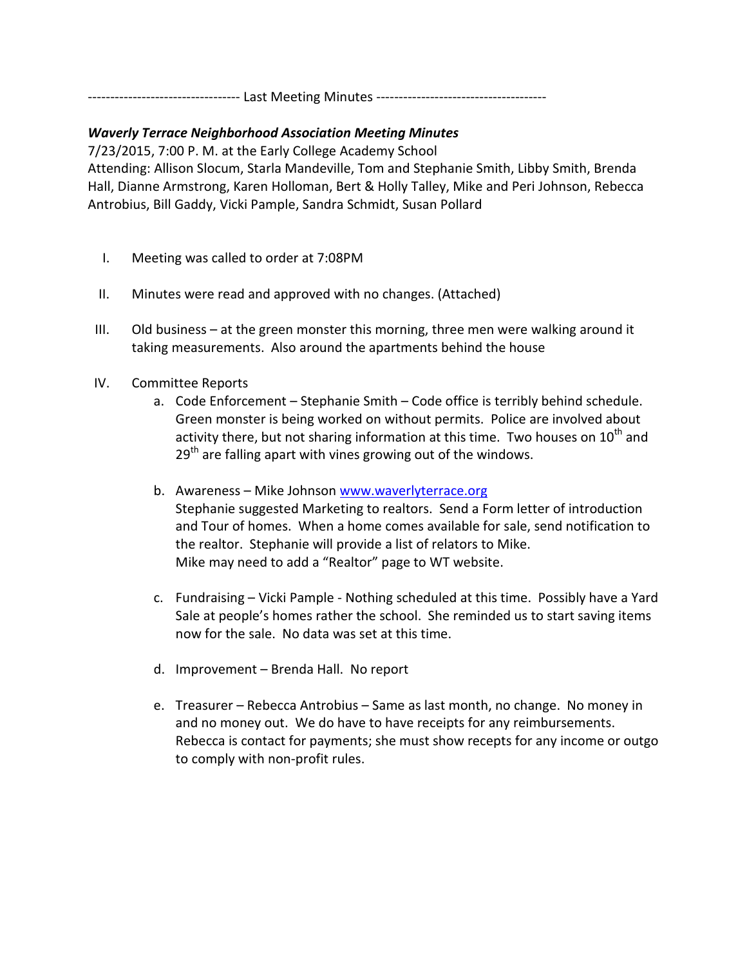---------------------------------- Last Meeting Minutes --------------------------------------

### Waverly Terrace Neighborhood Association Meeting Minutes

7/23/2015, 7:00 P. M. at the Early College Academy School

Attending: Allison Slocum, Starla Mandeville, Tom and Stephanie Smith, Libby Smith, Brenda Hall, Dianne Armstrong, Karen Holloman, Bert & Holly Talley, Mike and Peri Johnson, Rebecca Antrobius, Bill Gaddy, Vicki Pample, Sandra Schmidt, Susan Pollard

- I. Meeting was called to order at 7:08PM
- II. Minutes were read and approved with no changes. (Attached)
- III. Old business at the green monster this morning, three men were walking around it taking measurements. Also around the apartments behind the house
- IV. Committee Reports
	- a. Code Enforcement Stephanie Smith Code office is terribly behind schedule. Green monster is being worked on without permits. Police are involved about activity there, but not sharing information at this time. Two houses on  $10<sup>th</sup>$  and  $29<sup>th</sup>$  are falling apart with vines growing out of the windows.
	- b. Awareness Mike Johnson www.waverlyterrace.org Stephanie suggested Marketing to realtors. Send a Form letter of introduction and Tour of homes. When a home comes available for sale, send notification to the realtor. Stephanie will provide a list of relators to Mike. Mike may need to add a "Realtor" page to WT website.
	- c. Fundraising Vicki Pample Nothing scheduled at this time. Possibly have a Yard Sale at people's homes rather the school. She reminded us to start saving items now for the sale. No data was set at this time.
	- d. Improvement Brenda Hall. No report
	- e. Treasurer Rebecca Antrobius Same as last month, no change. No money in and no money out. We do have to have receipts for any reimbursements. Rebecca is contact for payments; she must show recepts for any income or outgo to comply with non-profit rules.